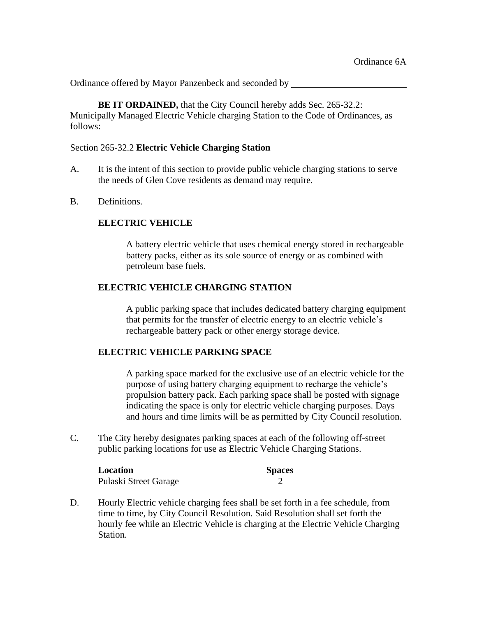Ordinance offered by Mayor Panzenbeck and seconded by

**BE IT ORDAINED,** that the City Council hereby adds Sec. 265-32.2: Municipally Managed Electric Vehicle charging Station to the Code of Ordinances, as follows:

## Section 265-32.2 **Electric Vehicle Charging Station**

- A. It is the intent of this section to provide public vehicle charging stations to serve the needs of Glen Cove residents as demand may require.
- B. Definitions.

## **ELECTRIC VEHICLE**

A battery electric vehicle that uses chemical energy stored in rechargeable battery packs, either as its sole source of energy or as combined with petroleum base fuels.

## **ELECTRIC VEHICLE CHARGING STATION**

A public parking space that includes dedicated battery charging equipment that permits for the transfer of electric energy to an electric vehicle's rechargeable battery pack or other energy storage device.

## **ELECTRIC VEHICLE PARKING SPACE**

A parking space marked for the exclusive use of an electric vehicle for the purpose of using battery charging equipment to recharge the vehicle's propulsion battery pack. Each parking space shall be posted with signage indicating the space is only for electric vehicle charging purposes. Days and hours and time limits will be as permitted by City Council resolution.

C. The City hereby designates parking spaces at each of the following off-street public parking locations for use as Electric Vehicle Charging Stations.

| Location              | <b>Spaces</b> |
|-----------------------|---------------|
| Pulaski Street Garage |               |

D. Hourly Electric vehicle charging fees shall be set forth in a fee schedule, from time to time, by City Council Resolution. Said Resolution shall set forth the hourly fee while an Electric Vehicle is charging at the Electric Vehicle Charging Station.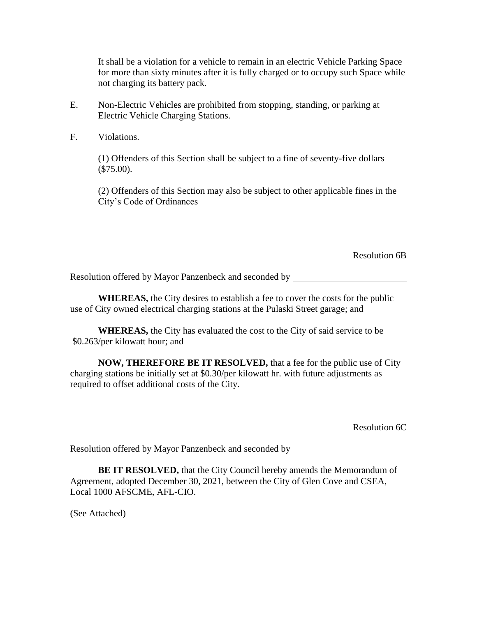It shall be a violation for a vehicle to remain in an electric Vehicle Parking Space for more than sixty minutes after it is fully charged or to occupy such Space while not charging its battery pack.

- E. Non-Electric Vehicles are prohibited from stopping, standing, or parking at Electric Vehicle Charging Stations.
- F. Violations.

(1) Offenders of this Section shall be subject to a fine of seventy-five dollars (\$75.00).

(2) Offenders of this Section may also be subject to other applicable fines in the City's Code of Ordinances

Resolution 6B

Resolution offered by Mayor Panzenbeck and seconded by

**WHEREAS,** the City desires to establish a fee to cover the costs for the public use of City owned electrical charging stations at the Pulaski Street garage; and

**WHEREAS,** the City has evaluated the cost to the City of said service to be \$0.263/per kilowatt hour; and

**NOW, THEREFORE BE IT RESOLVED,** that a fee for the public use of City charging stations be initially set at \$0.30/per kilowatt hr. with future adjustments as required to offset additional costs of the City.

Resolution 6C

Resolution offered by Mayor Panzenbeck and seconded by

**BE IT RESOLVED, that the City Council hereby amends the Memorandum of** Agreement, adopted December 30, 2021, between the City of Glen Cove and CSEA, Local 1000 AFSCME, AFL-CIO.

(See Attached)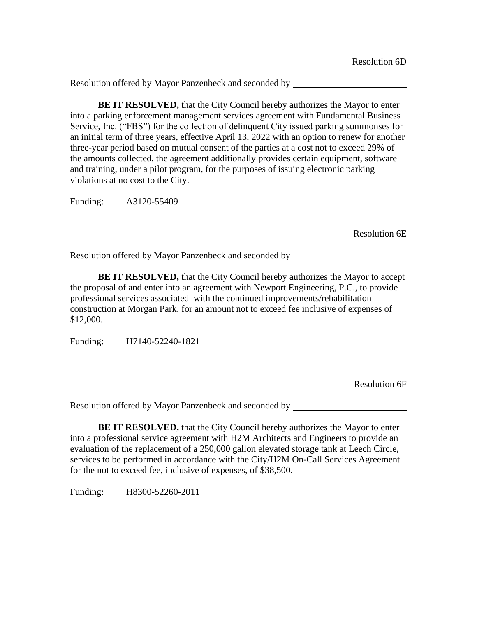**BE IT RESOLVED,** that the City Council hereby authorizes the Mayor to enter into a parking enforcement management services agreement with Fundamental Business Service, Inc. ("FBS") for the collection of delinquent City issued parking summonses for an initial term of three years, effective April 13, 2022 with an option to renew for another three-year period based on mutual consent of the parties at a cost not to exceed 29% of the amounts collected, the agreement additionally provides certain equipment, software and training, under a pilot program, for the purposes of issuing electronic parking violations at no cost to the City.

Funding: A3120-55409

Resolution 6E

Resolution offered by Mayor Panzenbeck and seconded by

**BE IT RESOLVED,** that the City Council hereby authorizes the Mayor to accept the proposal of and enter into an agreement with Newport Engineering, P.C., to provide professional services associated with the continued improvements/rehabilitation construction at Morgan Park, for an amount not to exceed fee inclusive of expenses of \$12,000.

Funding: H7140-52240-1821

Resolution 6F

Resolution offered by Mayor Panzenbeck and seconded by

**BE IT RESOLVED,** that the City Council hereby authorizes the Mayor to enter into a professional service agreement with H2M Architects and Engineers to provide an evaluation of the replacement of a 250,000 gallon elevated storage tank at Leech Circle, services to be performed in accordance with the City/H2M On-Call Services Agreement for the not to exceed fee, inclusive of expenses, of \$38,500.

Funding: H8300-52260-2011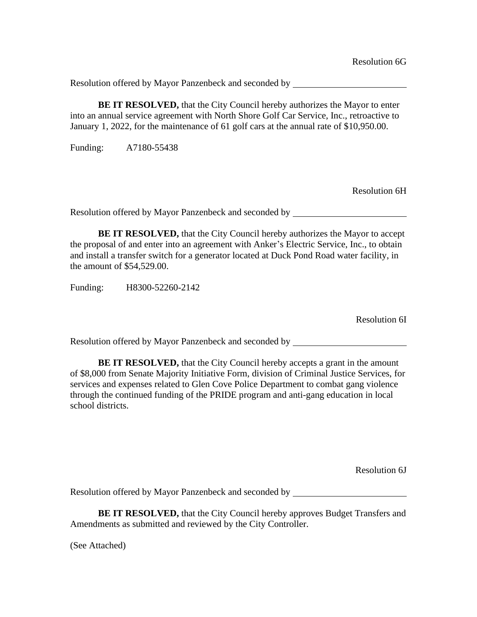**BE IT RESOLVED,** that the City Council hereby authorizes the Mayor to enter into an annual service agreement with North Shore Golf Car Service, Inc., retroactive to January 1, 2022, for the maintenance of 61 golf cars at the annual rate of \$10,950.00.

Funding: A7180-55438

Resolution 6H

Resolution offered by Mayor Panzenbeck and seconded by

**BE IT RESOLVED, that the City Council hereby authorizes the Mayor to accept** the proposal of and enter into an agreement with Anker's Electric Service, Inc., to obtain and install a transfer switch for a generator located at Duck Pond Road water facility, in the amount of \$54,529.00.

Funding: H8300-52260-2142

Resolution 6I

Resolution offered by Mayor Panzenbeck and seconded by

**BE IT RESOLVED,** that the City Council hereby accepts a grant in the amount of \$8,000 from Senate Majority Initiative Form, division of Criminal Justice Services, for services and expenses related to Glen Cove Police Department to combat gang violence through the continued funding of the PRIDE program and anti-gang education in local school districts.

Resolution 6J

Resolution offered by Mayor Panzenbeck and seconded by

**BE IT RESOLVED,** that the City Council hereby approves Budget Transfers and Amendments as submitted and reviewed by the City Controller.

(See Attached)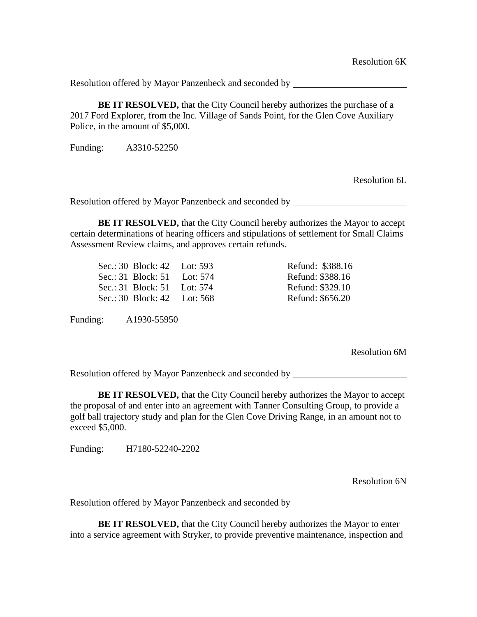**BE IT RESOLVED,** that the City Council hereby authorizes the purchase of a 2017 Ford Explorer, from the Inc. Village of Sands Point, for the Glen Cove Auxiliary Police, in the amount of \$5,000.

Funding: A3310-52250

Resolution 6L

Resolution offered by Mayor Panzenbeck and seconded by **Exercífical** 

**BE IT RESOLVED,** that the City Council hereby authorizes the Mayor to accept certain determinations of hearing officers and stipulations of settlement for Small Claims Assessment Review claims, and approves certain refunds.

| Sec.: 30 Block: 42 Lot: 593 |            |
|-----------------------------|------------|
| Sec.: 31 Block: 51          | Lot: $574$ |
| Sec.: 31 Block: 51          | Lot: $574$ |
| Sec.: 30 Block: 42          | Lot: 568   |

Funding: A1930-55950

Resolution 6M

Refund: \$388.16 Refund: \$388.16 Refund: \$329.10 Refund: \$656.20

Resolution offered by Mayor Panzenbeck and seconded by

**BE IT RESOLVED,** that the City Council hereby authorizes the Mayor to accept the proposal of and enter into an agreement with Tanner Consulting Group, to provide a golf ball trajectory study and plan for the Glen Cove Driving Range, in an amount not to exceed \$5,000.

Funding: H7180-52240-2202

Resolution 6N

Resolution offered by Mayor Panzenbeck and seconded by

**BE IT RESOLVED,** that the City Council hereby authorizes the Mayor to enter into a service agreement with Stryker, to provide preventive maintenance, inspection and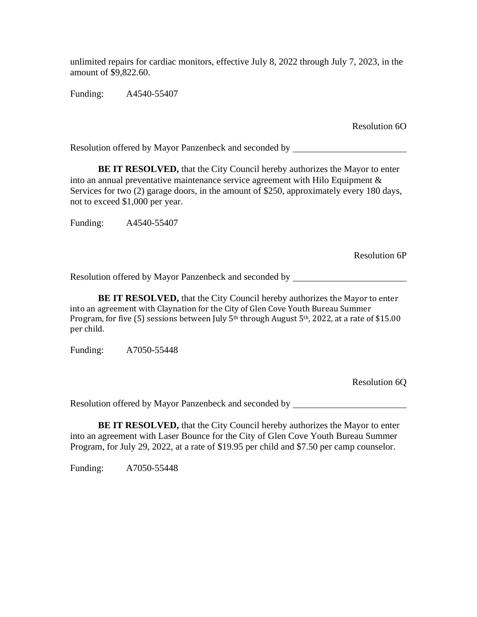unlimited repairs for cardiac monitors, effective July 8, 2022 through July 7, 2023, in the amount of \$9,822.60.

Funding: A4540-55407

Resolution 6O

Resolution offered by Mayor Panzenbeck and seconded by

**BE IT RESOLVED,** that the City Council hereby authorizes the Mayor to enter into an annual preventative maintenance service agreement with Hilo Equipment  $\&$ Services for two (2) garage doors, in the amount of \$250, approximately every 180 days, not to exceed \$1,000 per year.

Funding: A4540-55407

Resolution 6P

Resolution offered by Mayor Panzenbeck and seconded by

**BE IT RESOLVED,** that the City Council hereby authorizes the Mayor to enter into an agreement with Claynation for the City of Glen Cove Youth Bureau Summer Program, for five (5) sessions between July 5<sup>th</sup> through August 5<sup>th</sup>, 2022, at a rate of \$15.00 per child.

Funding: A7050-55448

Resolution 6Q

Resolution offered by Mayor Panzenbeck and seconded by

**BE IT RESOLVED,** that the City Council hereby authorizes the Mayor to enter into an agreement with Laser Bounce for the City of Glen Cove Youth Bureau Summer Program, for July 29, 2022, at a rate of \$19.95 per child and \$7.50 per camp counselor.

Funding: A7050-55448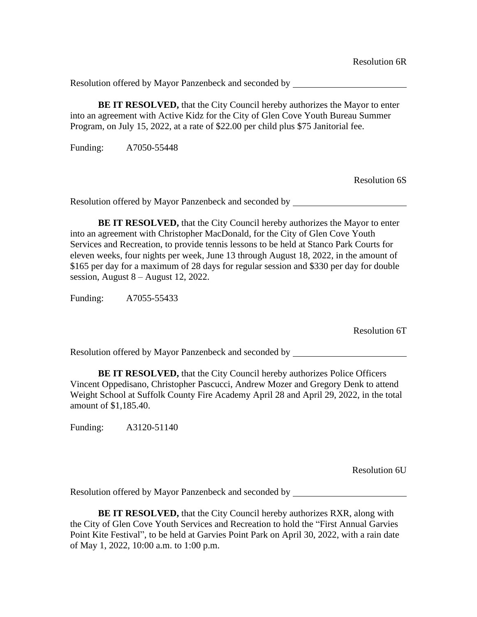**BE IT RESOLVED,** that the City Council hereby authorizes the Mayor to enter into an agreement with Active Kidz for the City of Glen Cove Youth Bureau Summer Program, on July 15, 2022, at a rate of \$22.00 per child plus \$75 Janitorial fee.

Funding: A7050-55448

Resolution 6S

Resolution offered by Mayor Panzenbeck and seconded by

**BE IT RESOLVED,** that the City Council hereby authorizes the Mayor to enter into an agreement with Christopher MacDonald, for the City of Glen Cove Youth Services and Recreation, to provide tennis lessons to be held at Stanco Park Courts for eleven weeks, four nights per week, June 13 through August 18, 2022, in the amount of \$165 per day for a maximum of 28 days for regular session and \$330 per day for double session, August 8 – August 12, 2022.

Funding: A7055-55433

Resolution 6T

Resolution offered by Mayor Panzenbeck and seconded by

**BE IT RESOLVED,** that the City Council hereby authorizes Police Officers Vincent Oppedisano, Christopher Pascucci, Andrew Mozer and Gregory Denk to attend Weight School at Suffolk County Fire Academy April 28 and April 29, 2022, in the total amount of \$1,185.40.

Funding: A3120-51140

Resolution 6U

Resolution offered by Mayor Panzenbeck and seconded by

**BE IT RESOLVED,** that the City Council hereby authorizes RXR, along with the City of Glen Cove Youth Services and Recreation to hold the "First Annual Garvies Point Kite Festival", to be held at Garvies Point Park on April 30, 2022, with a rain date of May 1, 2022, 10:00 a.m. to 1:00 p.m.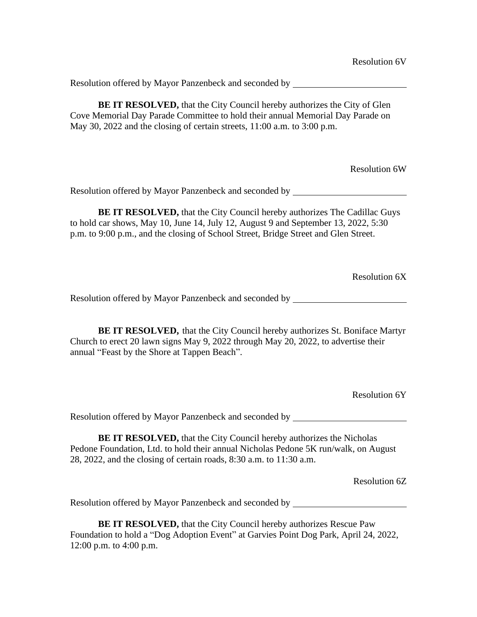**BE IT RESOLVED,** that the City Council hereby authorizes the City of Glen Cove Memorial Day Parade Committee to hold their annual Memorial Day Parade on May 30, 2022 and the closing of certain streets, 11:00 a.m. to 3:00 p.m.

Resolution 6W

Resolution offered by Mayor Panzenbeck and seconded by

**BE IT RESOLVED,** that the City Council hereby authorizes The Cadillac Guys to hold car shows, May 10, June 14, July 12, August 9 and September 13, 2022, 5:30 p.m. to 9:00 p.m., and the closing of School Street, Bridge Street and Glen Street.

Resolution 6X

Resolution offered by Mayor Panzenbeck and seconded by

**BE IT RESOLVED,** that the City Council hereby authorizes St. Boniface Martyr Church to erect 20 lawn signs May 9, 2022 through May 20, 2022, to advertise their annual "Feast by the Shore at Tappen Beach".

Resolution 6Y

Resolution offered by Mayor Panzenbeck and seconded by \_\_\_\_\_\_\_\_\_\_\_\_\_\_\_\_\_\_\_\_\_\_\_\_\_

**BE IT RESOLVED, that the City Council hereby authorizes the Nicholas** Pedone Foundation, Ltd. to hold their annual Nicholas Pedone 5K run/walk, on August 28, 2022, and the closing of certain roads, 8:30 a.m. to 11:30 a.m.

Resolution 6Z

Resolution offered by Mayor Panzenbeck and seconded by

**BE IT RESOLVED, that the City Council hereby authorizes Rescue Paw** Foundation to hold a "Dog Adoption Event" at Garvies Point Dog Park, April 24, 2022, 12:00 p.m. to 4:00 p.m.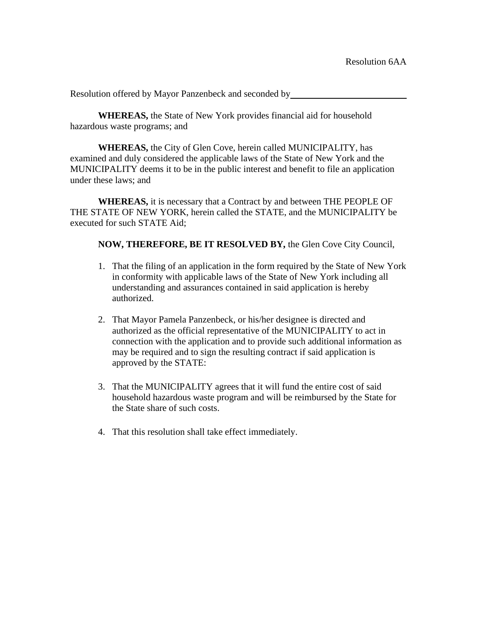**WHEREAS,** the State of New York provides financial aid for household hazardous waste programs; and

**WHEREAS,** the City of Glen Cove, herein called MUNICIPALITY, has examined and duly considered the applicable laws of the State of New York and the MUNICIPALITY deems it to be in the public interest and benefit to file an application under these laws; and

**WHEREAS,** it is necessary that a Contract by and between THE PEOPLE OF THE STATE OF NEW YORK, herein called the STATE, and the MUNICIPALITY be executed for such STATE Aid;

**NOW, THEREFORE, BE IT RESOLVED BY,** the Glen Cove City Council,

- 1. That the filing of an application in the form required by the State of New York in conformity with applicable laws of the State of New York including all understanding and assurances contained in said application is hereby authorized.
- 2. That Mayor Pamela Panzenbeck, or his/her designee is directed and authorized as the official representative of the MUNICIPALITY to act in connection with the application and to provide such additional information as may be required and to sign the resulting contract if said application is approved by the STATE:
- 3. That the MUNICIPALITY agrees that it will fund the entire cost of said household hazardous waste program and will be reimbursed by the State for the State share of such costs.
- 4. That this resolution shall take effect immediately.